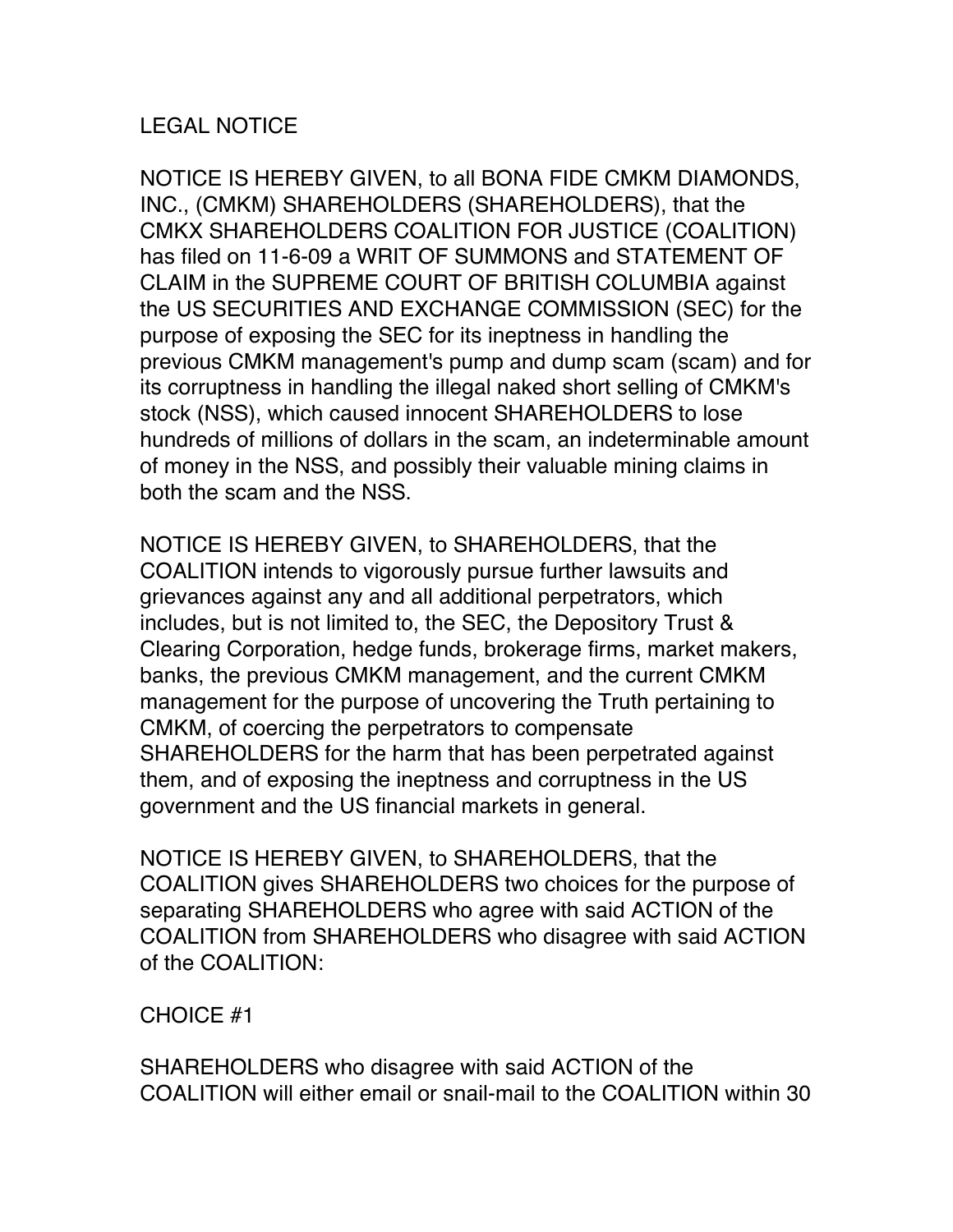## LEGAL NOTICE

NOTICE IS HEREBY GIVEN, to all BONA FIDE CMKM DIAMONDS, INC., (CMKM) SHAREHOLDERS (SHAREHOLDERS), that the CMKX SHAREHOLDERS COALITION FOR JUSTICE (COALITION) has filed on 11-6-09 a WRIT OF SUMMONS and STATEMENT OF CLAIM in the SUPREME COURT OF BRITISH COLUMBIA against the US SECURITIES AND EXCHANGE COMMISSION (SEC) for the purpose of exposing the SEC for its ineptness in handling the previous CMKM management's pump and dump scam (scam) and for its corruptness in handling the illegal naked short selling of CMKM's stock (NSS), which caused innocent SHAREHOLDERS to lose hundreds of millions of dollars in the scam, an indeterminable amount of money in the NSS, and possibly their valuable mining claims in both the scam and the NSS.

NOTICE IS HEREBY GIVEN, to SHAREHOLDERS, that the COALITION intends to vigorously pursue further lawsuits and grievances against any and all additional perpetrators, which includes, but is not limited to, the SEC, the Depository Trust & Clearing Corporation, hedge funds, brokerage firms, market makers, banks, the previous CMKM management, and the current CMKM management for the purpose of uncovering the Truth pertaining to CMKM, of coercing the perpetrators to compensate SHAREHOLDERS for the harm that has been perpetrated against them, and of exposing the ineptness and corruptness in the US government and the US financial markets in general.

NOTICE IS HEREBY GIVEN, to SHAREHOLDERS, that the COALITION gives SHAREHOLDERS two choices for the purpose of separating SHAREHOLDERS who agree with said ACTION of the COALITION from SHAREHOLDERS who disagree with said ACTION of the COALITION:

## CHOICE #1

SHAREHOLDERS who disagree with said ACTION of the COALITION will either email or snail-mail to the COALITION within 30